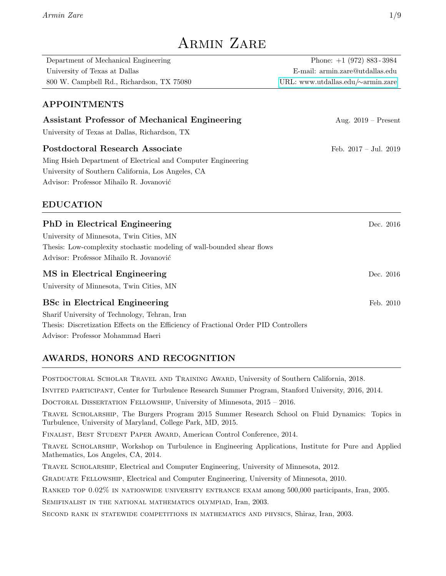# Armin Zare

| Department of Mechanical Engineering                                                 | Phone: $+1$ (972) 883 - 3984             |
|--------------------------------------------------------------------------------------|------------------------------------------|
| University of Texas at Dallas                                                        | E-mail: armin.zare@utdallas.edu          |
| 800 W. Campbell Rd., Richardson, TX 75080                                            | URL: www.utdallas.edu/ $\sim$ armin.zare |
| <b>APPOINTMENTS</b>                                                                  |                                          |
| Assistant Professor of Mechanical Engineering                                        | Aug. $2019$ – Present                    |
| University of Texas at Dallas, Richardson, TX                                        |                                          |
| <b>Postdoctoral Research Associate</b>                                               | Feb. 2017 - Jul. 2019                    |
| Ming Hsieh Department of Electrical and Computer Engineering                         |                                          |
| University of Southern California, Los Angeles, CA                                   |                                          |
| Advisor: Professor Mihailo R. Jovanović                                              |                                          |
| <b>EDUCATION</b>                                                                     |                                          |
| <b>PhD</b> in Electrical Engineering                                                 | Dec. 2016                                |
| University of Minnesota, Twin Cities, MN                                             |                                          |
| Thesis: Low-complexity stochastic modeling of wall-bounded shear flows               |                                          |
| Advisor: Professor Mihailo R. Jovanović                                              |                                          |
| MS in Electrical Engineering                                                         | Dec. 2016                                |
| University of Minnesota, Twin Cities, MN                                             |                                          |
| <b>BSc</b> in Electrical Engineering                                                 | Feb. 2010                                |
| Sharif University of Technology, Tehran, Iran                                        |                                          |
| Thesis: Discretization Effects on the Efficiency of Fractional Order PID Controllers |                                          |

Advisor: Professor Mohammad Haeri

# AWARDS, HONORS AND RECOGNITION

POSTDOCTORAL SCHOLAR TRAVEL AND TRAINING AWARD, University of Southern California, 2018. Invited participant, Center for Turbulence Research Summer Program, Stanford University, 2016, 2014. Doctoral Dissertation Fellowship, University of Minnesota, 2015 – 2016. Travel Scholarship, The Burgers Program 2015 Summer Research School on Fluid Dynamics: Topics in Turbulence, University of Maryland, College Park, MD, 2015. Finalist, Best Student Paper Award, American Control Conference, 2014. Travel Scholarship, Workshop on Turbulence in Engineering Applications, Institute for Pure and Applied Mathematics, Los Angeles, CA, 2014. Travel Scholarship, Electrical and Computer Engineering, University of Minnesota, 2012. Graduate Fellowship, Electrical and Computer Engineering, University of Minnesota, 2010. Ranked top 0.02% in nationwide university entrance exam among 500,000 participants, Iran, 2005. Semifinalist in the national mathematics olympiad, Iran, 2003. Second rank in statewide competitions in mathematics and physics, Shiraz, Iran, 2003.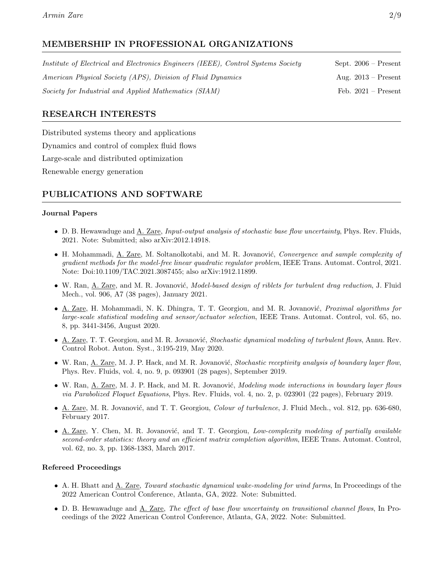# MEMBERSHIP IN PROFESSIONAL ORGANIZATIONS

| Institute of Electrical and Electronics Engineers (IEEE), Control Systems Society | Sept. $2006$ – Present |
|-----------------------------------------------------------------------------------|------------------------|
| American Physical Society (APS), Division of Fluid Dynamics                       | Aug. $2013$ – Present  |
| Society for Industrial and Applied Mathematics (SIAM)                             | Feb. $2021 -$ Present  |

# RESEARCH INTERESTS

Distributed systems theory and applications Dynamics and control of complex fluid flows Large-scale and distributed optimization Renewable energy generation

# PUBLICATIONS AND SOFTWARE

#### Journal Papers

- D. B. Hewawaduge and <u>A. Zare</u>, *Input-output analysis of stochastic base flow uncertainty*, Phys. Rev. Fluids, 2021. Note: Submitted; also arXiv:2012.14918.
- H. Mohammadi, A. Zare, M. Soltanolkotabi, and M. R. Jovanović, Convergence and sample complexity of gradient methods for the model-free linear quadratic regulator problem, IEEE Trans. Automat. Control, 2021. Note: Doi:10.1109/TAC.2021.3087455; also arXiv:1912.11899.
- W. Ran, A. Zare, and M. R. Jovanović, *Model-based design of riblets for turbulent drag reduction*, J. Fluid Mech., vol. 906, A7 (38 pages), January 2021.
- A. Zare, H. Mohammadi, N. K. Dhingra, T. T. Georgiou, and M. R. Jovanović, *Proximal algorithms for* large-scale statistical modeling and sensor/actuator selection, IEEE Trans. Automat. Control, vol. 65, no. 8, pp. 3441-3456, August 2020.
- A. Zare, T. T. Georgiou, and M. R. Jovanović, Stochastic dynamical modeling of turbulent flows, Annu. Rev. Control Robot. Auton. Syst., 3:195-219, May 2020.
- W. Ran, A. Zare, M. J. P. Hack, and M. R. Jovanović, Stochastic receptivity analysis of boundary layer flow, Phys. Rev. Fluids, vol. 4, no. 9, p. 093901 (28 pages), September 2019.
- W. Ran, A. Zare, M. J. P. Hack, and M. R. Jovanović, *Modeling mode interactions in boundary layer flows* via Parabolized Floquet Equations, Phys. Rev. Fluids, vol. 4, no. 2, p. 023901 (22 pages), February 2019.
- A. Zare, M. R. Jovanović, and T. T. Georgiou, *Colour of turbulence*, J. Fluid Mech., vol. 812, pp. 636-680, February 2017.
- A. Zare, Y. Chen, M. R. Jovanović, and T. T. Georgiou, Low-complexity modeling of partially available second-order statistics: theory and an efficient matrix completion algorithm, IEEE Trans. Automat. Control, vol. 62, no. 3, pp. 1368-1383, March 2017.

#### Refereed Proceedings

- A. H. Bhatt and A. Zare, *Toward stochastic dynamical wake-modeling for wind farms*, In Proceedings of the 2022 American Control Conference, Atlanta, GA, 2022. Note: Submitted.
- D. B. Hewawaduge and A. Zare, The effect of base flow uncertainty on transitional channel flows, In Proceedings of the 2022 American Control Conference, Atlanta, GA, 2022. Note: Submitted.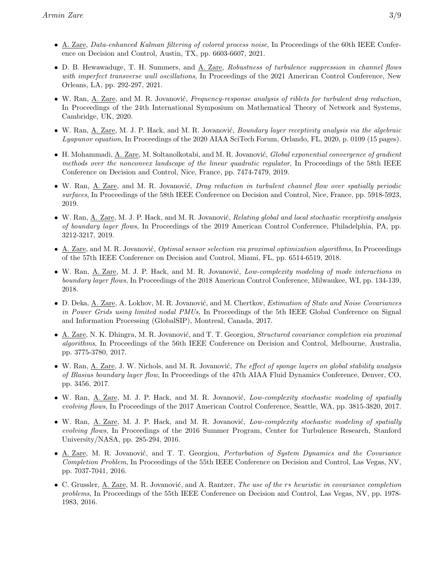- A. Zare, Data-enhanced Kalman filtering of colored process noise, In Proceedings of the 60th IEEE Conference on Decision and Control, Austin, TX, pp. 6603-6607, 2021.
- D. B. Hewawaduge, T. H. Summers, and A. Zare, Robustness of turbulence suppression in channel flows with imperfect transverse wall oscillations, In Proceedings of the 2021 American Control Conference, New Orleans, LA, pp. 292-297, 2021.
- W. Ran, A. Zare, and M. R. Jovanović, Frequency-response analysis of riblets for turbulent drag reduction, In Proceedings of the 24th International Symposium on Mathematical Theory of Network and Systems, Cambridge, UK, 2020.
- W. Ran, A. Zare, M. J. P. Hack, and M. R. Jovanović, *Boundary layer receptivity analysis via the algebraic* Lyapunov equation, In Proceedings of the 2020 AIAA SciTech Forum, Orlando, FL, 2020, p. 0109 (15 pages).
- H. Mohammadi, A. Zare, M. Soltanolkotabi, and M. R. Jovanović, Global exponential convergence of gradient methods over the nonconvex landscape of the linear quadratic regulator, In Proceedings of the 58th IEEE Conference on Decision and Control, Nice, France, pp. 7474-7479, 2019.
- W. Ran, A. Zare, and M. R. Jovanović, *Drag reduction in turbulent channel flow over spatially periodic* surfaces, In Proceedings of the 58th IEEE Conference on Decision and Control, Nice, France, pp. 5918-5923, 2019.
- W. Ran, A. Zare, M. J. P. Hack, and M. R. Jovanović, *Relating global and local stochastic receptivity analysis* of boundary layer flows, In Proceedings of the 2019 American Control Conference, Philadelphia, PA, pp. 3212-3217, 2019.
- A. Zare, and M. R. Jovanović, *Optimal sensor selection via proximal optimization algorithms*, In Proceedings of the 57th IEEE Conference on Decision and Control, Miami, FL, pp. 6514-6519, 2018.
- W. Ran, A. Zare, M. J. P. Hack, and M. R. Jovanović, Low-complexity modeling of mode interactions in boundary layer flows, In Proceedings of the 2018 American Control Conference, Milwaukee, WI, pp. 134-139, 2018.
- D. Deka, A. Zare, A. Lokhov, M. R. Jovanović, and M. Chertkov, *Estimation of State and Noise Covariances* in Power Grids using limited nodal PMUs, In Proceedings of the 5th IEEE Global Conference on Signal and Information Processing (GlobalSIP), Montreal, Canada, 2017.
- A. Zare, N. K. Dhingra, M. R. Jovanović, and T. T. Georgiou, *Structured covariance completion via proximal* algorithms, In Proceedings of the 56th IEEE Conference on Decision and Control, Melbourne, Australia, pp. 3775-3780, 2017.
- W. Ran, A. Zare, J. W. Nichols, and M. R. Jovanović, *The effect of sponge layers on global stability analysis* of Blasius boundary layer flow, In Proceedings of the 47th AIAA Fluid Dynamics Conference, Denver, CO, pp. 3456, 2017.
- W. Ran, A. Zare, M. J. P. Hack, and M. R. Jovanović, Low-complexity stochastic modeling of spatially evolving flows, In Proceedings of the 2017 American Control Conference, Seattle, WA, pp. 3815-3820, 2017.
- W. Ran, A. Zare, M. J. P. Hack, and M. R. Jovanović, Low-complexity stochastic modeling of spatially evolving flows, In Proceedings of the 2016 Summer Program, Center for Turbulence Research, Stanford University/NASA, pp. 285-294, 2016.
- A. Zare, M. R. Jovanović, and T. T. Georgiou, *Perturbation of System Dynamics and the Covariance* Completion Problem, In Proceedings of the 55th IEEE Conference on Decision and Control, Las Vegas, NV, pp. 7037-7041, 2016.
- C. Grussler, A. Zare, M. R. Jovanović, and A. Rantzer, *The use of the r∗ heuristic in covariance completion* problems, In Proceedings of the 55th IEEE Conference on Decision and Control, Las Vegas, NV, pp. 1978- 1983, 2016.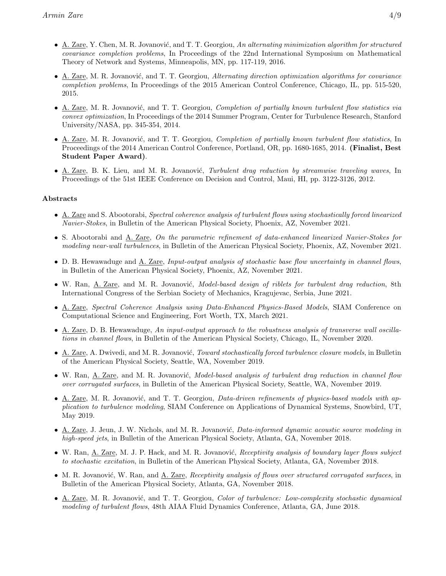- A. Zare, Y. Chen, M. R. Jovanović, and T. T. Georgiou, An alternating minimization algorithm for structured covariance completion problems, In Proceedings of the 22nd International Symposium on Mathematical Theory of Network and Systems, Minneapolis, MN, pp. 117-119, 2016.
- A. Zare, M. R. Jovanović, and T. T. Georgiou, Alternating direction optimization algorithms for covariance completion problems, In Proceedings of the 2015 American Control Conference, Chicago, IL, pp. 515-520, 2015.
- A. Zare, M. R. Jovanović, and T. T. Georgiou, Completion of partially known turbulent flow statistics via convex optimization, In Proceedings of the 2014 Summer Program, Center for Turbulence Research, Stanford University/NASA, pp. 345-354, 2014.
- A. Zare, M. R. Jovanović, and T. T. Georgiou, Completion of partially known turbulent flow statistics, In Proceedings of the 2014 American Control Conference, Portland, OR, pp. 1680-1685, 2014. (Finalist, Best Student Paper Award).
- A. Zare, B. K. Lieu, and M. R. Jovanović, Turbulent drag reduction by streamwise traveling waves, In Proceedings of the 51st IEEE Conference on Decision and Control, Maui, HI, pp. 3122-3126, 2012.

### Abstracts

- A. Zare and S. Abootorabi, Spectral coherence analysis of turbulent flows using stochastically forced linearized Navier-Stokes, in Bulletin of the American Physical Society, Phoenix, AZ, November 2021.
- S. Abootorabi and A. Zare, On the parametric refinement of data-enhanced linearized Navier-Stokes for modeling near-wall turbulences, in Bulletin of the American Physical Society, Phoenix, AZ, November 2021.
- D. B. Hewawaduge and A. Zare, Input-output analysis of stochastic base flow uncertainty in channel flows, in Bulletin of the American Physical Society, Phoenix, AZ, November 2021.
- W. Ran, A. Zare, and M. R. Jovanović, Model-based design of riblets for turbulent drag reduction, 8th International Congress of the Serbian Society of Mechanics, Kragujevac, Serbia, June 2021.
- A. Zare, Spectral Coherence Analysis using Data-Enhanced Physics-Based Models, SIAM Conference on Computational Science and Engineering, Fort Worth, TX, March 2021.
- A. Zare, D. B. Hewawaduge, An input-output approach to the robustness analysis of transverse wall oscillations in channel flows, in Bulletin of the American Physical Society, Chicago, IL, November 2020.
- A. Zare, A. Dwivedi, and M. R. Jovanović, *Toward stochastically forced turbulence closure models*, in Bulletin of the American Physical Society, Seattle, WA, November 2019.
- W. Ran, A. Zare, and M. R. Jovanović, Model-based analysis of turbulent drag reduction in channel flow over corrugated surfaces, in Bulletin of the American Physical Society, Seattle, WA, November 2019.
- A. Zare, M. R. Jovanović, and T. T. Georgiou, *Data-driven refinements of physics-based models with ap*plication to turbulence modeling, SIAM Conference on Applications of Dynamical Systems, Snowbird, UT, May 2019.
- A. Zare, J. Jeun, J. W. Nichols, and M. R. Jovanović, *Data-informed dynamic acoustic source modeling in* high-speed jets, in Bulletin of the American Physical Society, Atlanta, GA, November 2018.
- W. Ran, A. Zare, M. J. P. Hack, and M. R. Jovanović, Receptivity analysis of boundary layer flows subject to stochastic excitation, in Bulletin of the American Physical Society, Atlanta, GA, November 2018.
- M. R. Jovanović, W. Ran, and <u>A. Zare</u>, Receptivity analysis of flows over structured corrugated surfaces, in Bulletin of the American Physical Society, Atlanta, GA, November 2018.
- A. Zare, M. R. Jovanović, and T. T. Georgiou, *Color of turbulence: Low-complexity stochastic dynamical* modeling of turbulent flows, 48th AIAA Fluid Dynamics Conference, Atlanta, GA, June 2018.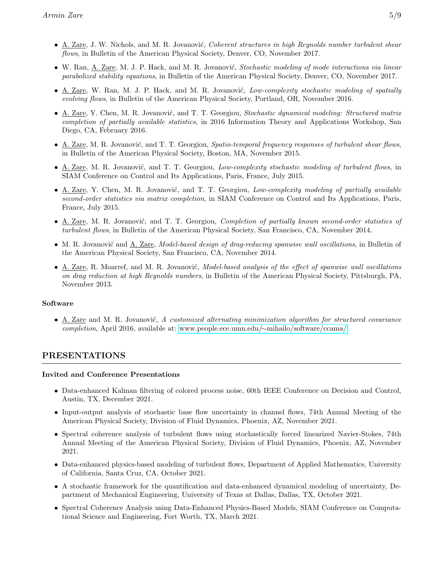- A. Zare, J. W. Nichols, and M. R. Jovanović, Coherent structures in high Reynolds number turbulent shear flows, in Bulletin of the American Physical Society, Denver, CO, November 2017.
- W. Ran, A. Zare, M. J. P. Hack, and M. R. Jovanović, Stochastic modeling of mode interactions via linear parabolized stability equations, in Bulletin of the American Physical Society, Denver, CO, November 2017.
- A. Zare, W. Ran, M. J. P. Hack, and M. R. Jovanović, Low-complexity stochastic modeling of spatially evolving flows, in Bulletin of the American Physical Society, Portland, OR, November 2016.
- A. Zare, Y. Chen, M. R. Jovanović, and T. T. Georgiou, Stochastic dynamical modeling: Structured matrix completion of partially available statistics, in 2016 Information Theory and Applications Workshop, San Diego, CA, February 2016.
- A. Zare, M. R. Jovanović, and T. T. Georgiou, Spatio-temporal frequency responses of turbulent shear flows, in Bulletin of the American Physical Society, Boston, MA, November 2015.
- A. Zare, M. R. Jovanović, and T. T. Georgiou, Low-complexity stochastic modeling of turbulent flows, in SIAM Conference on Control and Its Applications, Paris, France, July 2015.
- A. Zare, Y. Chen, M. R. Jovanović, and T. T. Georgiou, Low-complexity modeling of partially available second-order statistics via matrix completion, in SIAM Conference on Control and Its Applications, Paris, France, July 2015.
- A. Zare, M. R. Jovanović, and T. T. Georgiou, Completion of partially known second-order statistics of turbulent flows, in Bulletin of the American Physical Society, San Francisco, CA, November 2014.
- M. R. Jovanović and A. Zare, Model-based design of drag-reducing spanwise wall oscillations, in Bulletin of the American Physical Society, San Francisco, CA, November 2014.
- A. Zare, R. Moarref, and M. R. Jovanović, Model-based analysis of the effect of spanwise wall oscillations on drag reduction at high Reynolds numbers, in Bulletin of the American Physical Society, Pittsburgh, PA, November 2013.

#### Software

• A. Zare and M. R. Jovanović, A customized alternating minimization algorithm for structured covariance completion, April 2016, available at: [www.people.ece.umn.edu/](https://people.ece.umn.edu/~mihailo/software/ccama/)∼mihailo/software/ccama/

### PRESENTATIONS

#### Invited and Conference Presentations

- Data-enhanced Kalman filtering of colored process noise, 60th IEEE Conference on Decision and Control, Austin, TX, December 2021.
- Input-output analysis of stochastic base flow uncertainty in channel flows, 74th Annual Meeting of the American Physical Society, Division of Fluid Dynamics, Phoenix, AZ, November 2021.
- Spectral coherence analysis of turbulent flows using stochastically forced linearized Navier-Stokes, 74th Annual Meeting of the American Physical Society, Division of Fluid Dynamics, Phoenix, AZ, November 2021.
- Data-enhanced physics-based modeling of turbulent flows, Department of Applied Mathematics, University of California, Santa Cruz, CA, October 2021.
- A stochastic framework for the quantification and data-enhanced dynamical modeling of uncertainty, Department of Mechanical Engineering, University of Texas at Dallas, Dallas, TX, October 2021.
- Spectral Coherence Analysis using Data-Enhanced Physics-Based Models, SIAM Conference on Computational Science and Engineering, Fort Worth, TX, March 2021.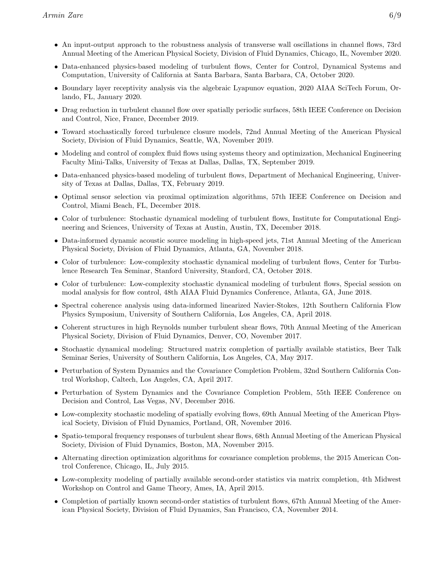- An input-output approach to the robustness analysis of transverse wall oscillations in channel flows, 73rd Annual Meeting of the American Physical Society, Division of Fluid Dynamics, Chicago, IL, November 2020.
- Data-enhanced physics-based modeling of turbulent flows, Center for Control, Dynamical Systems and Computation, University of California at Santa Barbara, Santa Barbara, CA, October 2020.
- Boundary layer receptivity analysis via the algebraic Lyapunov equation, 2020 AIAA SciTech Forum, Orlando, FL, January 2020.
- Drag reduction in turbulent channel flow over spatially periodic surfaces, 58th IEEE Conference on Decision and Control, Nice, France, December 2019.
- Toward stochastically forced turbulence closure models, 72nd Annual Meeting of the American Physical Society, Division of Fluid Dynamics, Seattle, WA, November 2019.
- Modeling and control of complex fluid flows using systems theory and optimization, Mechanical Engineering Faculty Mini-Talks, University of Texas at Dallas, Dallas, TX, September 2019.
- Data-enhanced physics-based modeling of turbulent flows, Department of Mechanical Engineering, University of Texas at Dallas, Dallas, TX, February 2019.
- Optimal sensor selection via proximal optimization algorithms, 57th IEEE Conference on Decision and Control, Miami Beach, FL, December 2018.
- Color of turbulence: Stochastic dynamical modeling of turbulent flows, Institute for Computational Engineering and Sciences, University of Texas at Austin, Austin, TX, December 2018.
- Data-informed dynamic acoustic source modeling in high-speed jets, 71st Annual Meeting of the American Physical Society, Division of Fluid Dynamics, Atlanta, GA, November 2018.
- Color of turbulence: Low-complexity stochastic dynamical modeling of turbulent flows, Center for Turbulence Research Tea Seminar, Stanford University, Stanford, CA, October 2018.
- Color of turbulence: Low-complexity stochastic dynamical modeling of turbulent flows, Special session on modal analysis for flow control, 48th AIAA Fluid Dynamics Conference, Atlanta, GA, June 2018.
- Spectral coherence analysis using data-informed linearized Navier-Stokes, 12th Southern California Flow Physics Symposium, University of Southern California, Los Angeles, CA, April 2018.
- Coherent structures in high Reynolds number turbulent shear flows, 70th Annual Meeting of the American Physical Society, Division of Fluid Dynamics, Denver, CO, November 2017.
- Stochastic dynamical modeling: Structured matrix completion of partially available statistics, Beer Talk Seminar Series, University of Southern California, Los Angeles, CA, May 2017.
- Perturbation of System Dynamics and the Covariance Completion Problem, 32nd Southern California Control Workshop, Caltech, Los Angeles, CA, April 2017.
- Perturbation of System Dynamics and the Covariance Completion Problem, 55th IEEE Conference on Decision and Control, Las Vegas, NV, December 2016.
- Low-complexity stochastic modeling of spatially evolving flows, 69th Annual Meeting of the American Physical Society, Division of Fluid Dynamics, Portland, OR, November 2016.
- Spatio-temporal frequency responses of turbulent shear flows, 68th Annual Meeting of the American Physical Society, Division of Fluid Dynamics, Boston, MA, November 2015.
- Alternating direction optimization algorithms for covariance completion problems, the 2015 American Control Conference, Chicago, IL, July 2015.
- Low-complexity modeling of partially available second-order statistics via matrix completion, 4th Midwest Workshop on Control and Game Theory, Ames, IA, April 2015.
- Completion of partially known second-order statistics of turbulent flows, 67th Annual Meeting of the American Physical Society, Division of Fluid Dynamics, San Francisco, CA, November 2014.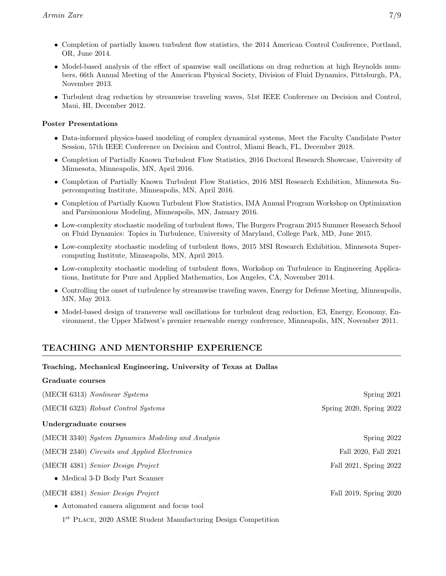- Completion of partially known turbulent flow statistics, the 2014 American Control Conference, Portland, OR, June 2014.
- Model-based analysis of the effect of spanwise wall oscillations on drag reduction at high Reynolds numbers, 66th Annual Meeting of the American Physical Society, Division of Fluid Dynamics, Pittsburgh, PA, November 2013.
- Turbulent drag reduction by streamwise traveling waves, 51st IEEE Conference on Decision and Control, Maui, HI, December 2012.

## Poster Presentations

- Data-informed physics-based modeling of complex dynamical systems, Meet the Faculty Candidate Poster Session, 57th IEEE Conference on Decision and Control, Miami Beach, FL, December 2018.
- Completion of Partially Known Turbulent Flow Statistics, 2016 Doctoral Research Showcase, University of Minnesota, Minneapolis, MN, April 2016.
- Completion of Partially Known Turbulent Flow Statistics, 2016 MSI Research Exhibition, Minnesota Supercomputing Institute, Minneapolis, MN, April 2016.
- Completion of Partially Known Turbulent Flow Statistics, IMA Annual Program Workshop on Optimization and Parsimonious Modeling, Minneapolis, MN, January 2016.
- Low-complexity stochastic modeling of turbulent flows, The Burgers Program 2015 Summer Research School on Fluid Dynamics: Topics in Turbulence, University of Maryland, College Park, MD, June 2015.
- Low-complexity stochastic modeling of turbulent flows, 2015 MSI Research Exhibition, Minnesota Supercomputing Institute, Minneapolis, MN, April 2015.
- Low-complexity stochastic modeling of turbulent flows, Workshop on Turbulence in Engineering Applications, Institute for Pure and Applied Mathematics, Los Angeles, CA, November 2014.
- Controlling the onset of turbulence by streamwise traveling waves, Energy for Defense Meeting, Minneapolis, MN, May 2013.
- Model-based design of transverse wall oscillations for turbulent drag reduction, E3, Energy, Economy, Environment, the Upper Midwest's premier renewable energy conference, Minneapolis, MN, November 2011.

# TEACHING AND MENTORSHIP EXPERIENCE

### Teaching, Mechanical Engineering, University of Texas at Dallas

| Spring 2021              |
|--------------------------|
| Spring 2020, Spring 2022 |
|                          |
| Spring 2022              |
| Fall 2020, Fall 2021     |
| Fall 2021, Spring 2022   |
|                          |
| Fall 2019, Spring 2020   |
|                          |
|                          |

1 st Place, 2020 ASME Student Manufacturing Design Competition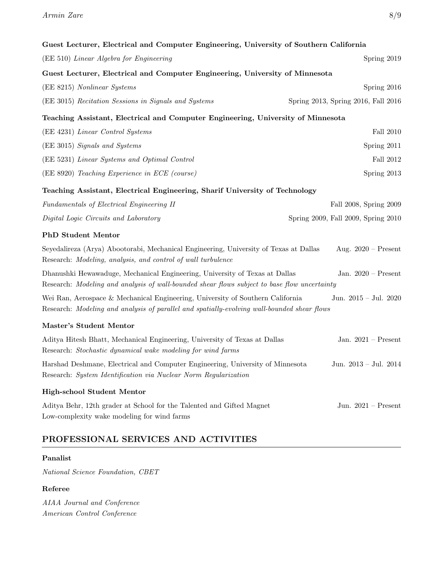| Guest Lecturer, Electrical and Computer Engineering, University of Southern California                                                                                        |                                     |  |
|-------------------------------------------------------------------------------------------------------------------------------------------------------------------------------|-------------------------------------|--|
| (EE 510) Linear Algebra for Engineering                                                                                                                                       | Spring 2019                         |  |
| Guest Lecturer, Electrical and Computer Engineering, University of Minnesota                                                                                                  |                                     |  |
| (EE 8215) Nonlinear Systems                                                                                                                                                   | Spring 2016                         |  |
| (EE 3015) Recitation Sessions in Signals and Systems                                                                                                                          | Spring 2013, Spring 2016, Fall 2016 |  |
| Teaching Assistant, Electrical and Computer Engineering, University of Minnesota                                                                                              |                                     |  |
| (EE 4231) Linear Control Systems                                                                                                                                              | Fall 2010                           |  |
| (EE 3015) Signals and Systems                                                                                                                                                 | Spring 2011                         |  |
| (EE 5231) Linear Systems and Optimal Control                                                                                                                                  | Fall 2012                           |  |
| (EE 8920) Teaching Experience in ECE (course)                                                                                                                                 | Spring 2013                         |  |
| Teaching Assistant, Electrical Engineering, Sharif University of Technology                                                                                                   |                                     |  |
| Fundamentals of Electrical Engineering II                                                                                                                                     | Fall 2008, Spring 2009              |  |
| Digital Logic Circuits and Laboratory                                                                                                                                         | Spring 2009, Fall 2009, Spring 2010 |  |
| <b>PhD Student Mentor</b>                                                                                                                                                     |                                     |  |
| Seyedalireza (Arya) Abootorabi, Mechanical Engineering, University of Texas at Dallas<br>Research: Modeling, analysis, and control of wall turbulence                         | Aug. $2020$ – Present               |  |
| Dhanushki Hewawaduge, Mechanical Engineering, University of Texas at Dallas<br>Research: Modeling and analysis of wall-bounded shear flows subject to base flow uncertainty   | Jan. $2020$ – Present               |  |
| Wei Ran, Aerospace & Mechanical Engineering, University of Southern California<br>Research: Modeling and analysis of parallel and spatially-evolving wall-bounded shear flows | Jun. $2015 -$ Jul. $2020$           |  |
| Master's Student Mentor                                                                                                                                                       |                                     |  |
| Aditya Hitesh Bhatt, Mechanical Engineering, University of Texas at Dallas<br>Research: Stochastic dynamical wake modeling for wind farms                                     | Jan. $2021$ – Present               |  |
| Harshad Deshmane, Electrical and Computer Engineering, University of Minnesota<br>Research: System Identification via Nuclear Norm Regularization                             | Jun. 2013 - Jul. 2014               |  |
| <b>High-school Student Mentor</b>                                                                                                                                             |                                     |  |
| Aditya Behr, 12th grader at School for the Talented and Gifted Magnet<br>Low-complexity wake modeling for wind farms                                                          | Jun. $2021$ – Present               |  |

# PROFESSIONAL SERVICES AND ACTIVITIES

### Panalist

National Science Foundation, CBET

### Referee

AIAA Journal and Conference American Control Conference